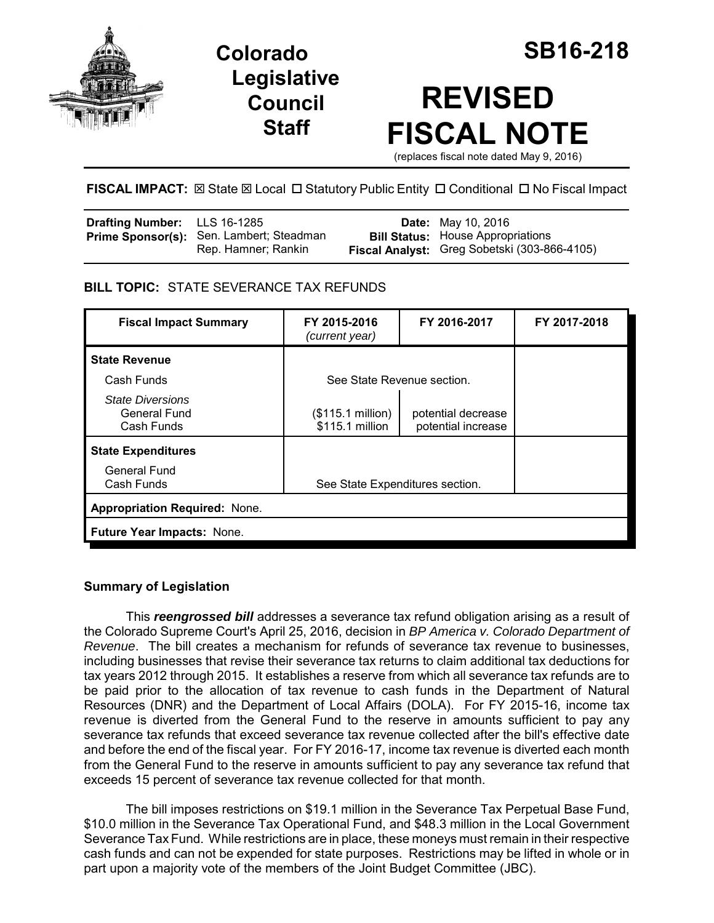

**Colorado SB16-218 Legislative Council Staff**

# **REVISED FISCAL NOTE**

(replaces fiscal note dated May 9, 2016)

FISCAL IMPACT:  $\boxtimes$  State  $\boxtimes$  Local  $\Box$  Statutory Public Entity  $\Box$  Conditional  $\Box$  No Fiscal Impact

| <b>Drafting Number:</b> LLS 16-1285 |                                                                 | <b>Date:</b> May 10, 2016                                                                |
|-------------------------------------|-----------------------------------------------------------------|------------------------------------------------------------------------------------------|
|                                     | Prime Sponsor(s): Sen. Lambert; Steadman<br>Rep. Hamner; Rankin | <b>Bill Status:</b> House Appropriations<br>Fiscal Analyst: Greg Sobetski (303-866-4105) |
|                                     |                                                                 |                                                                                          |

# **BILL TOPIC:** STATE SEVERANCE TAX REFUNDS

| <b>Fiscal Impact Summary</b>                          | FY 2015-2016<br>(current year)       | FY 2016-2017                             | FY 2017-2018 |  |  |
|-------------------------------------------------------|--------------------------------------|------------------------------------------|--------------|--|--|
| <b>State Revenue</b>                                  |                                      |                                          |              |  |  |
| Cash Funds                                            | See State Revenue section.           |                                          |              |  |  |
| <b>State Diversions</b><br>General Fund<br>Cash Funds | (\$115.1 million)<br>\$115.1 million | potential decrease<br>potential increase |              |  |  |
| <b>State Expenditures</b>                             |                                      |                                          |              |  |  |
| <b>General Fund</b><br>Cash Funds                     | See State Expenditures section.      |                                          |              |  |  |
| <b>Appropriation Required: None.</b>                  |                                      |                                          |              |  |  |
| Future Year Impacts: None.                            |                                      |                                          |              |  |  |

# **Summary of Legislation**

This *reengrossed bill* addresses a severance tax refund obligation arising as a result of the Colorado Supreme Court's April 25, 2016, decision in *BP America v. Colorado Department of Revenue*. The bill creates a mechanism for refunds of severance tax revenue to businesses, including businesses that revise their severance tax returns to claim additional tax deductions for tax years 2012 through 2015. It establishes a reserve from which all severance tax refunds are to be paid prior to the allocation of tax revenue to cash funds in the Department of Natural Resources (DNR) and the Department of Local Affairs (DOLA). For FY 2015-16, income tax revenue is diverted from the General Fund to the reserve in amounts sufficient to pay any severance tax refunds that exceed severance tax revenue collected after the bill's effective date and before the end of the fiscal year. For FY 2016-17, income tax revenue is diverted each month from the General Fund to the reserve in amounts sufficient to pay any severance tax refund that exceeds 15 percent of severance tax revenue collected for that month.

The bill imposes restrictions on \$19.1 million in the Severance Tax Perpetual Base Fund, \$10.0 million in the Severance Tax Operational Fund, and \$48.3 million in the Local Government Severance Tax Fund. While restrictions are in place, these moneys must remain in their respective cash funds and can not be expended for state purposes. Restrictions may be lifted in whole or in part upon a majority vote of the members of the Joint Budget Committee (JBC).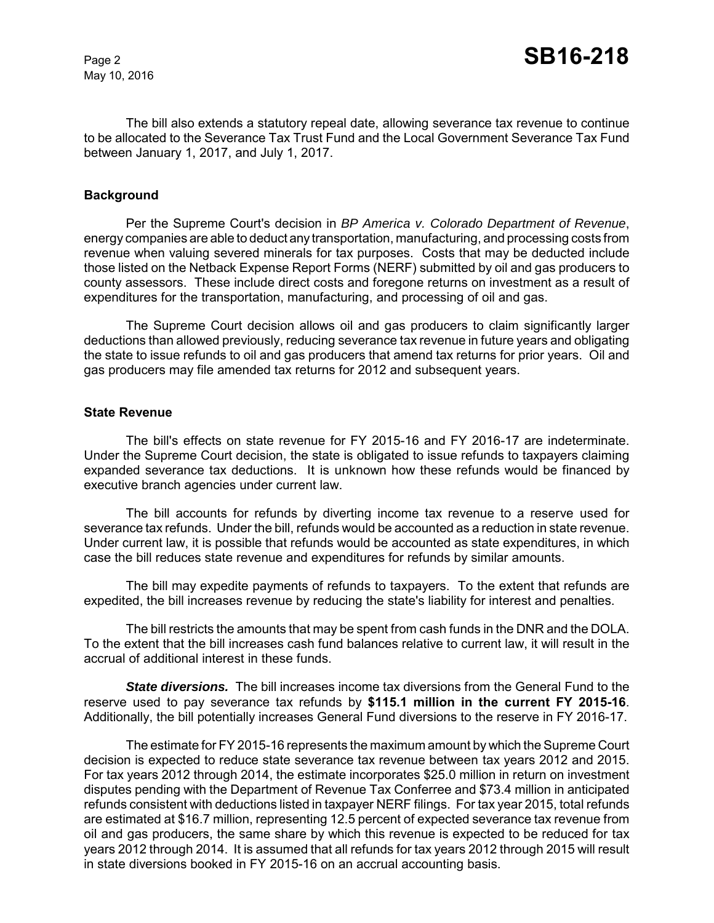May 10, 2016

The bill also extends a statutory repeal date, allowing severance tax revenue to continue to be allocated to the Severance Tax Trust Fund and the Local Government Severance Tax Fund between January 1, 2017, and July 1, 2017.

## **Background**

Per the Supreme Court's decision in *BP America v. Colorado Department of Revenue*, energy companies are able to deduct any transportation, manufacturing, and processing costs from revenue when valuing severed minerals for tax purposes. Costs that may be deducted include those listed on the Netback Expense Report Forms (NERF) submitted by oil and gas producers to county assessors. These include direct costs and foregone returns on investment as a result of expenditures for the transportation, manufacturing, and processing of oil and gas.

The Supreme Court decision allows oil and gas producers to claim significantly larger deductions than allowed previously, reducing severance tax revenue in future years and obligating the state to issue refunds to oil and gas producers that amend tax returns for prior years. Oil and gas producers may file amended tax returns for 2012 and subsequent years.

#### **State Revenue**

The bill's effects on state revenue for FY 2015-16 and FY 2016-17 are indeterminate. Under the Supreme Court decision, the state is obligated to issue refunds to taxpayers claiming expanded severance tax deductions. It is unknown how these refunds would be financed by executive branch agencies under current law.

The bill accounts for refunds by diverting income tax revenue to a reserve used for severance tax refunds. Under the bill, refunds would be accounted as a reduction in state revenue. Under current law, it is possible that refunds would be accounted as state expenditures, in which case the bill reduces state revenue and expenditures for refunds by similar amounts.

The bill may expedite payments of refunds to taxpayers. To the extent that refunds are expedited, the bill increases revenue by reducing the state's liability for interest and penalties.

The bill restricts the amounts that may be spent from cash funds in the DNR and the DOLA. To the extent that the bill increases cash fund balances relative to current law, it will result in the accrual of additional interest in these funds.

*State diversions.* The bill increases income tax diversions from the General Fund to the reserve used to pay severance tax refunds by **\$115.1 million in the current FY 2015-16**. Additionally, the bill potentially increases General Fund diversions to the reserve in FY 2016-17.

The estimate for FY 2015-16 represents the maximum amount by which the Supreme Court decision is expected to reduce state severance tax revenue between tax years 2012 and 2015. For tax years 2012 through 2014, the estimate incorporates \$25.0 million in return on investment disputes pending with the Department of Revenue Tax Conferree and \$73.4 million in anticipated refunds consistent with deductions listed in taxpayer NERF filings. For tax year 2015, total refunds are estimated at \$16.7 million, representing 12.5 percent of expected severance tax revenue from oil and gas producers, the same share by which this revenue is expected to be reduced for tax years 2012 through 2014. It is assumed that all refunds for tax years 2012 through 2015 will result in state diversions booked in FY 2015-16 on an accrual accounting basis.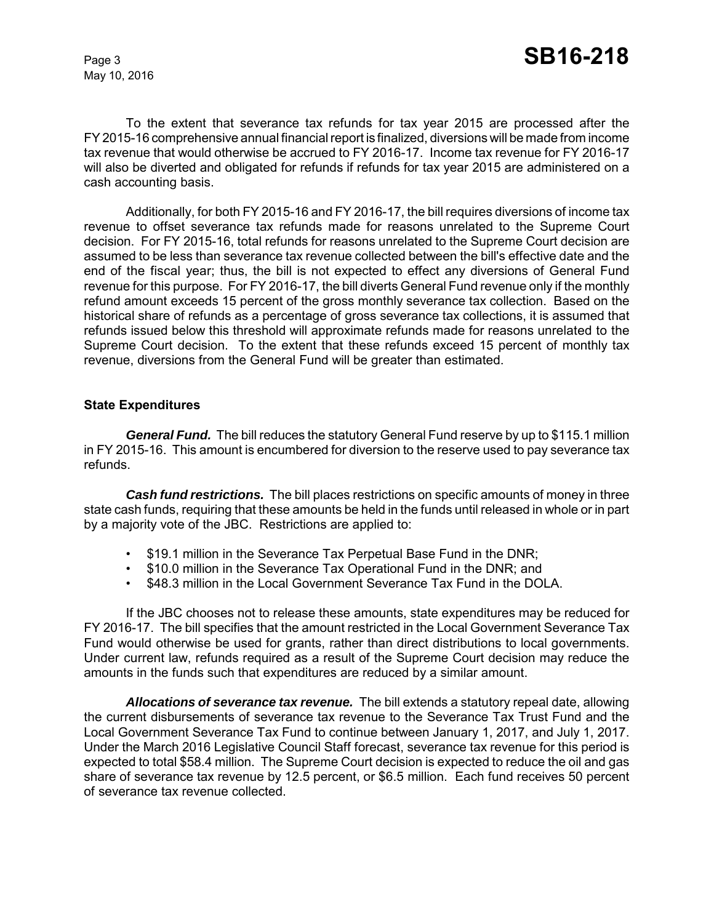May 10, 2016

To the extent that severance tax refunds for tax year 2015 are processed after the FY 2015-16 comprehensive annual financial report is finalized, diversions will be made from income tax revenue that would otherwise be accrued to FY 2016-17. Income tax revenue for FY 2016-17 will also be diverted and obligated for refunds if refunds for tax year 2015 are administered on a cash accounting basis.

Additionally, for both FY 2015-16 and FY 2016-17, the bill requires diversions of income tax revenue to offset severance tax refunds made for reasons unrelated to the Supreme Court decision. For FY 2015-16, total refunds for reasons unrelated to the Supreme Court decision are assumed to be less than severance tax revenue collected between the bill's effective date and the end of the fiscal year; thus, the bill is not expected to effect any diversions of General Fund revenue for this purpose. For FY 2016-17, the bill diverts General Fund revenue only if the monthly refund amount exceeds 15 percent of the gross monthly severance tax collection. Based on the historical share of refunds as a percentage of gross severance tax collections, it is assumed that refunds issued below this threshold will approximate refunds made for reasons unrelated to the Supreme Court decision. To the extent that these refunds exceed 15 percent of monthly tax revenue, diversions from the General Fund will be greater than estimated.

## **State Expenditures**

*General Fund.* The bill reduces the statutory General Fund reserve by up to \$115.1 million in FY 2015-16. This amount is encumbered for diversion to the reserve used to pay severance tax refunds.

*Cash fund restrictions.* The bill places restrictions on specific amounts of money in three state cash funds, requiring that these amounts be held in the funds until released in whole or in part by a majority vote of the JBC. Restrictions are applied to:

- \$19.1 million in the Severance Tax Perpetual Base Fund in the DNR;
- \$10.0 million in the Severance Tax Operational Fund in the DNR; and
- \$48.3 million in the Local Government Severance Tax Fund in the DOLA.

If the JBC chooses not to release these amounts, state expenditures may be reduced for FY 2016-17. The bill specifies that the amount restricted in the Local Government Severance Tax Fund would otherwise be used for grants, rather than direct distributions to local governments. Under current law, refunds required as a result of the Supreme Court decision may reduce the amounts in the funds such that expenditures are reduced by a similar amount.

*Allocations of severance tax revenue.* The bill extends a statutory repeal date, allowing the current disbursements of severance tax revenue to the Severance Tax Trust Fund and the Local Government Severance Tax Fund to continue between January 1, 2017, and July 1, 2017. Under the March 2016 Legislative Council Staff forecast, severance tax revenue for this period is expected to total \$58.4 million. The Supreme Court decision is expected to reduce the oil and gas share of severance tax revenue by 12.5 percent, or \$6.5 million. Each fund receives 50 percent of severance tax revenue collected.